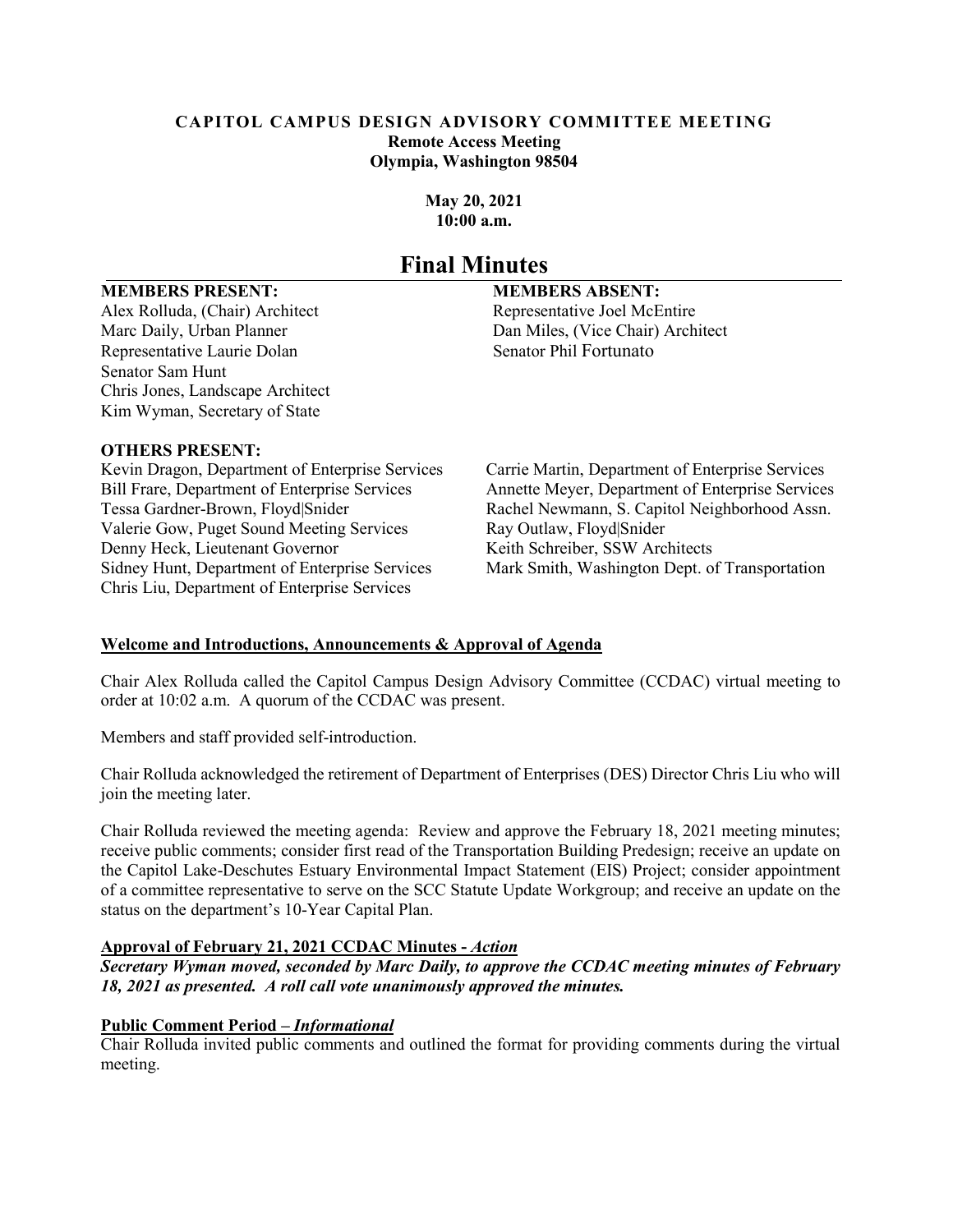#### **CAPITOL CAMPUS DESIGN ADVISORY COMMITTEE MEETING Remote Access Meeting Olympia, Washington 98504**

**May 20, 2021 10:00 a.m.**

## **Final Minutes**

#### **MEMBERS PRESENT: MEMBERS ABSENT:**

Alex Rolluda, (Chair) Architect Representative Joel McEntire Marc Daily, Urban Planner **Dan Miles, (Vice Chair)** Architect Representative Laurie Dolan Senator Phil Fortunato Senator Sam Hunt Chris Jones, Landscape Architect Kim Wyman, Secretary of State

#### **OTHERS PRESENT:**

Kevin Dragon, Department of Enterprise Services Carrie Martin, Department of Enterprise Services Valerie Gow, Puget Sound Meeting Services Ray Outlaw, Floyd|Snider Denny Heck, Lieutenant Governor Keith Schreiber, SSW Architects Sidney Hunt, Department of Enterprise Services Mark Smith, Washington Dept. of Transportation Chris Liu, Department of Enterprise Services

Bill Frare, Department of Enterprise Services Annette Meyer, Department of Enterprise Services Tessa Gardner-Brown, Floyd|Snider Rachel Newmann, S. Capitol Neighborhood Assn.

### **Welcome and Introductions, Announcements & Approval of Agenda**

Chair Alex Rolluda called the Capitol Campus Design Advisory Committee (CCDAC) virtual meeting to order at 10:02 a.m. A quorum of the CCDAC was present.

Members and staff provided self-introduction.

Chair Rolluda acknowledged the retirement of Department of Enterprises (DES) Director Chris Liu who will join the meeting later.

Chair Rolluda reviewed the meeting agenda: Review and approve the February 18, 2021 meeting minutes; receive public comments; consider first read of the Transportation Building Predesign; receive an update on the Capitol Lake-Deschutes Estuary Environmental Impact Statement (EIS) Project; consider appointment of a committee representative to serve on the SCC Statute Update Workgroup; and receive an update on the status on the department's 10-Year Capital Plan.

#### **Approval of February 21, 2021 CCDAC Minutes -** *Action*

*Secretary Wyman moved, seconded by Marc Daily, to approve the CCDAC meeting minutes of February 18, 2021 as presented. A roll call vote unanimously approved the minutes.*

### **Public Comment Period –** *Informational*

Chair Rolluda invited public comments and outlined the format for providing comments during the virtual meeting.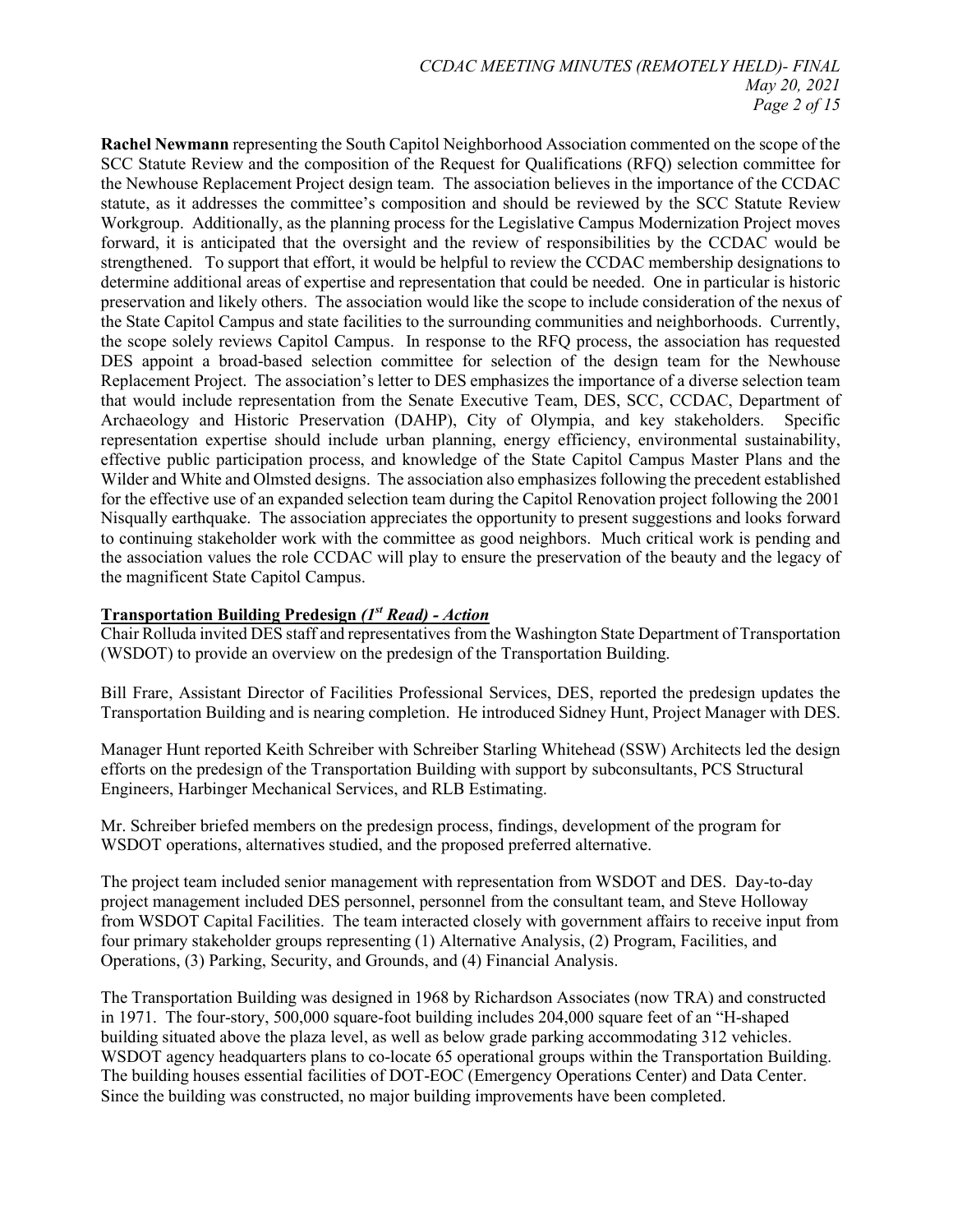**Rachel Newmann** representing the South Capitol Neighborhood Association commented on the scope of the SCC Statute Review and the composition of the Request for Qualifications (RFQ) selection committee for the Newhouse Replacement Project design team. The association believes in the importance of the CCDAC statute, as it addresses the committee's composition and should be reviewed by the SCC Statute Review Workgroup. Additionally, as the planning process for the Legislative Campus Modernization Project moves forward, it is anticipated that the oversight and the review of responsibilities by the CCDAC would be strengthened. To support that effort, it would be helpful to review the CCDAC membership designations to determine additional areas of expertise and representation that could be needed. One in particular is historic preservation and likely others. The association would like the scope to include consideration of the nexus of the State Capitol Campus and state facilities to the surrounding communities and neighborhoods. Currently, the scope solely reviews Capitol Campus. In response to the RFQ process, the association has requested DES appoint a broad-based selection committee for selection of the design team for the Newhouse Replacement Project. The association's letter to DES emphasizes the importance of a diverse selection team that would include representation from the Senate Executive Team, DES, SCC, CCDAC, Department of Archaeology and Historic Preservation (DAHP), City of Olympia, and key stakeholders. Specific representation expertise should include urban planning, energy efficiency, environmental sustainability, effective public participation process, and knowledge of the State Capitol Campus Master Plans and the Wilder and White and Olmsted designs. The association also emphasizes following the precedent established for the effective use of an expanded selection team during the Capitol Renovation project following the 2001 Nisqually earthquake. The association appreciates the opportunity to present suggestions and looks forward to continuing stakeholder work with the committee as good neighbors. Much critical work is pending and the association values the role CCDAC will play to ensure the preservation of the beauty and the legacy of the magnificent State Capitol Campus.

#### **Transportation Building Predesign** *(1st Read) - Action*

Chair Rolluda invited DES staff and representatives from the Washington State Department of Transportation (WSDOT) to provide an overview on the predesign of the Transportation Building.

Bill Frare, Assistant Director of Facilities Professional Services, DES, reported the predesign updates the Transportation Building and is nearing completion. He introduced Sidney Hunt, Project Manager with DES.

Manager Hunt reported Keith Schreiber with Schreiber Starling Whitehead (SSW) Architects led the design efforts on the predesign of the Transportation Building with support by subconsultants, PCS Structural Engineers, Harbinger Mechanical Services, and RLB Estimating.

Mr. Schreiber briefed members on the predesign process, findings, development of the program for WSDOT operations, alternatives studied, and the proposed preferred alternative.

The project team included senior management with representation from WSDOT and DES. Day-to-day project management included DES personnel, personnel from the consultant team, and Steve Holloway from WSDOT Capital Facilities. The team interacted closely with government affairs to receive input from four primary stakeholder groups representing (1) Alternative Analysis, (2) Program, Facilities, and Operations, (3) Parking, Security, and Grounds, and (4) Financial Analysis.

The Transportation Building was designed in 1968 by Richardson Associates (now TRA) and constructed in 1971. The four-story, 500,000 square-foot building includes 204,000 square feet of an "H-shaped building situated above the plaza level, as well as below grade parking accommodating 312 vehicles. WSDOT agency headquarters plans to co-locate 65 operational groups within the Transportation Building. The building houses essential facilities of DOT-EOC (Emergency Operations Center) and Data Center. Since the building was constructed, no major building improvements have been completed.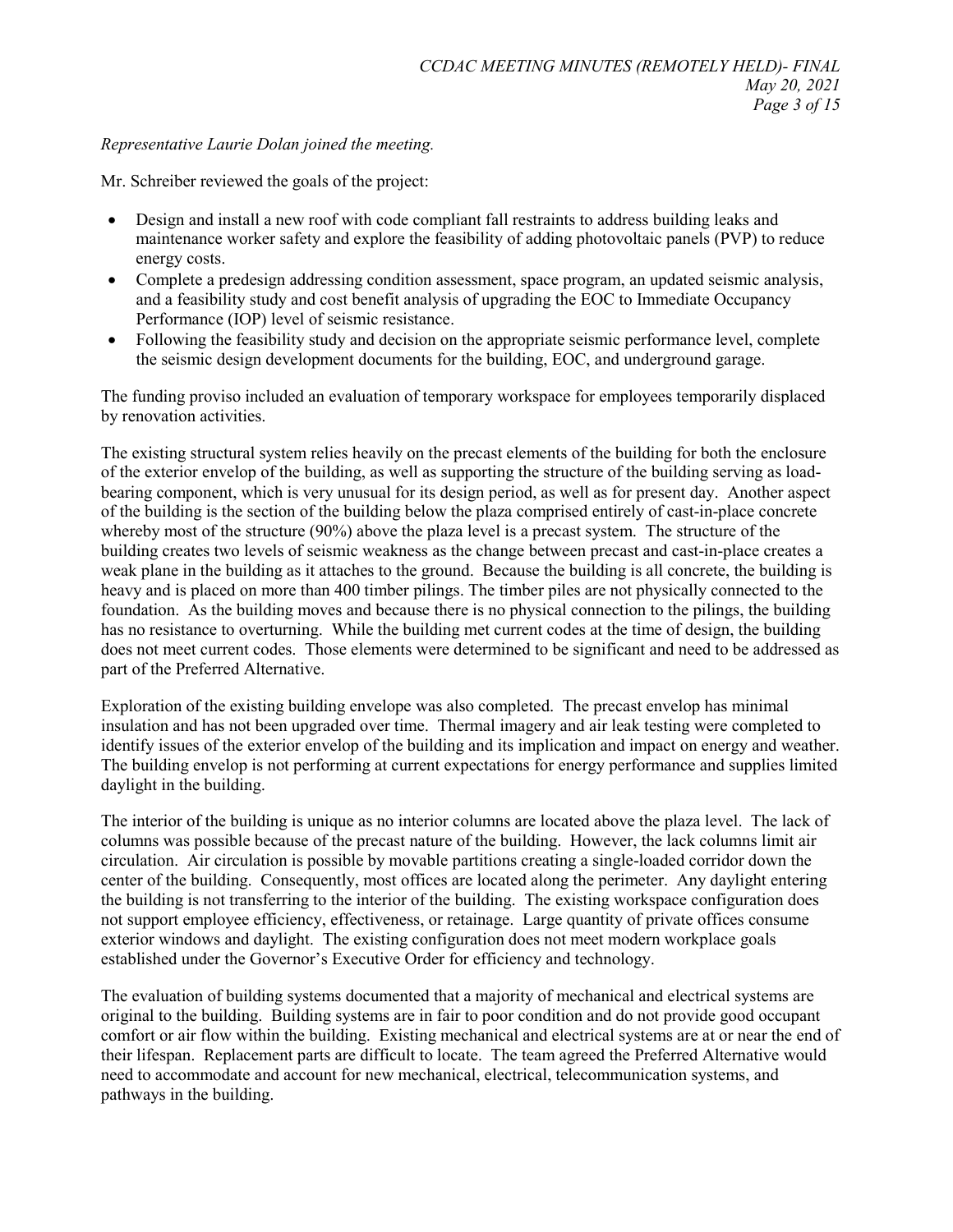#### *Representative Laurie Dolan joined the meeting.*

Mr. Schreiber reviewed the goals of the project:

- Design and install a new roof with code compliant fall restraints to address building leaks and maintenance worker safety and explore the feasibility of adding photovoltaic panels (PVP) to reduce energy costs.
- Complete a predesign addressing condition assessment, space program, an updated seismic analysis, and a feasibility study and cost benefit analysis of upgrading the EOC to Immediate Occupancy Performance (IOP) level of seismic resistance.
- Following the feasibility study and decision on the appropriate seismic performance level, complete the seismic design development documents for the building, EOC, and underground garage.

The funding proviso included an evaluation of temporary workspace for employees temporarily displaced by renovation activities.

The existing structural system relies heavily on the precast elements of the building for both the enclosure of the exterior envelop of the building, as well as supporting the structure of the building serving as loadbearing component, which is very unusual for its design period, as well as for present day. Another aspect of the building is the section of the building below the plaza comprised entirely of cast-in-place concrete whereby most of the structure (90%) above the plaza level is a precast system. The structure of the building creates two levels of seismic weakness as the change between precast and cast-in-place creates a weak plane in the building as it attaches to the ground. Because the building is all concrete, the building is heavy and is placed on more than 400 timber pilings. The timber piles are not physically connected to the foundation. As the building moves and because there is no physical connection to the pilings, the building has no resistance to overturning. While the building met current codes at the time of design, the building does not meet current codes. Those elements were determined to be significant and need to be addressed as part of the Preferred Alternative.

Exploration of the existing building envelope was also completed. The precast envelop has minimal insulation and has not been upgraded over time. Thermal imagery and air leak testing were completed to identify issues of the exterior envelop of the building and its implication and impact on energy and weather. The building envelop is not performing at current expectations for energy performance and supplies limited daylight in the building.

The interior of the building is unique as no interior columns are located above the plaza level. The lack of columns was possible because of the precast nature of the building. However, the lack columns limit air circulation. Air circulation is possible by movable partitions creating a single-loaded corridor down the center of the building. Consequently, most offices are located along the perimeter. Any daylight entering the building is not transferring to the interior of the building. The existing workspace configuration does not support employee efficiency, effectiveness, or retainage. Large quantity of private offices consume exterior windows and daylight. The existing configuration does not meet modern workplace goals established under the Governor's Executive Order for efficiency and technology.

The evaluation of building systems documented that a majority of mechanical and electrical systems are original to the building. Building systems are in fair to poor condition and do not provide good occupant comfort or air flow within the building. Existing mechanical and electrical systems are at or near the end of their lifespan. Replacement parts are difficult to locate. The team agreed the Preferred Alternative would need to accommodate and account for new mechanical, electrical, telecommunication systems, and pathways in the building.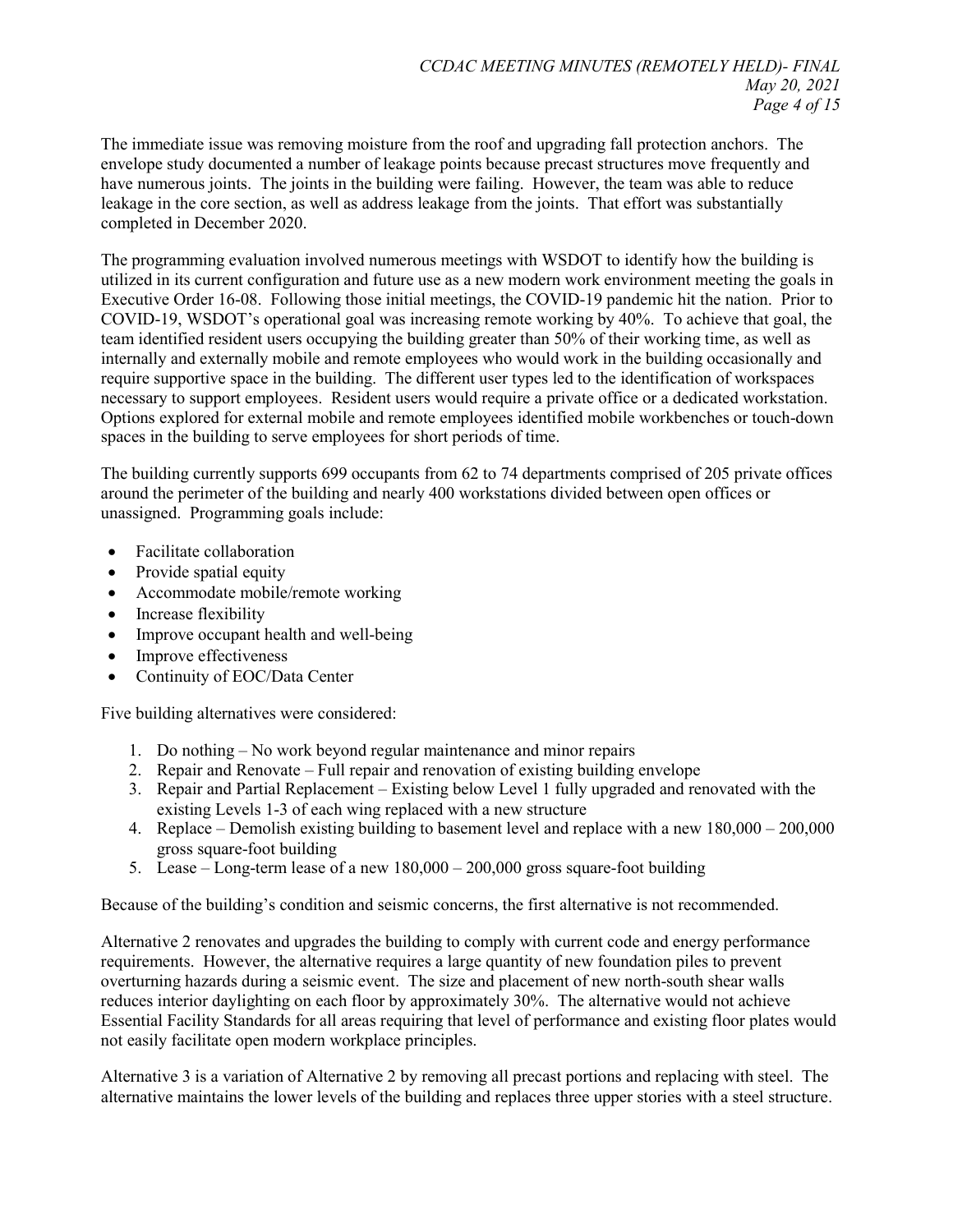The immediate issue was removing moisture from the roof and upgrading fall protection anchors. The envelope study documented a number of leakage points because precast structures move frequently and have numerous joints. The joints in the building were failing. However, the team was able to reduce leakage in the core section, as well as address leakage from the joints. That effort was substantially completed in December 2020.

The programming evaluation involved numerous meetings with WSDOT to identify how the building is utilized in its current configuration and future use as a new modern work environment meeting the goals in Executive Order 16-08. Following those initial meetings, the COVID-19 pandemic hit the nation. Prior to COVID-19, WSDOT's operational goal was increasing remote working by 40%. To achieve that goal, the team identified resident users occupying the building greater than 50% of their working time, as well as internally and externally mobile and remote employees who would work in the building occasionally and require supportive space in the building. The different user types led to the identification of workspaces necessary to support employees. Resident users would require a private office or a dedicated workstation. Options explored for external mobile and remote employees identified mobile workbenches or touch-down spaces in the building to serve employees for short periods of time.

The building currently supports 699 occupants from 62 to 74 departments comprised of 205 private offices around the perimeter of the building and nearly 400 workstations divided between open offices or unassigned. Programming goals include:

- Facilitate collaboration
- Provide spatial equity
- Accommodate mobile/remote working
- Increase flexibility
- Improve occupant health and well-being
- Improve effectiveness
- Continuity of EOC/Data Center

Five building alternatives were considered:

- 1. Do nothing No work beyond regular maintenance and minor repairs
- 2. Repair and Renovate Full repair and renovation of existing building envelope
- 3. Repair and Partial Replacement Existing below Level 1 fully upgraded and renovated with the existing Levels 1-3 of each wing replaced with a new structure
- 4. Replace Demolish existing building to basement level and replace with a new 180,000 200,000 gross square-foot building
- 5. Lease Long-term lease of a new 180,000 200,000 gross square-foot building

Because of the building's condition and seismic concerns, the first alternative is not recommended.

Alternative 2 renovates and upgrades the building to comply with current code and energy performance requirements. However, the alternative requires a large quantity of new foundation piles to prevent overturning hazards during a seismic event. The size and placement of new north-south shear walls reduces interior daylighting on each floor by approximately 30%. The alternative would not achieve Essential Facility Standards for all areas requiring that level of performance and existing floor plates would not easily facilitate open modern workplace principles.

Alternative 3 is a variation of Alternative 2 by removing all precast portions and replacing with steel. The alternative maintains the lower levels of the building and replaces three upper stories with a steel structure.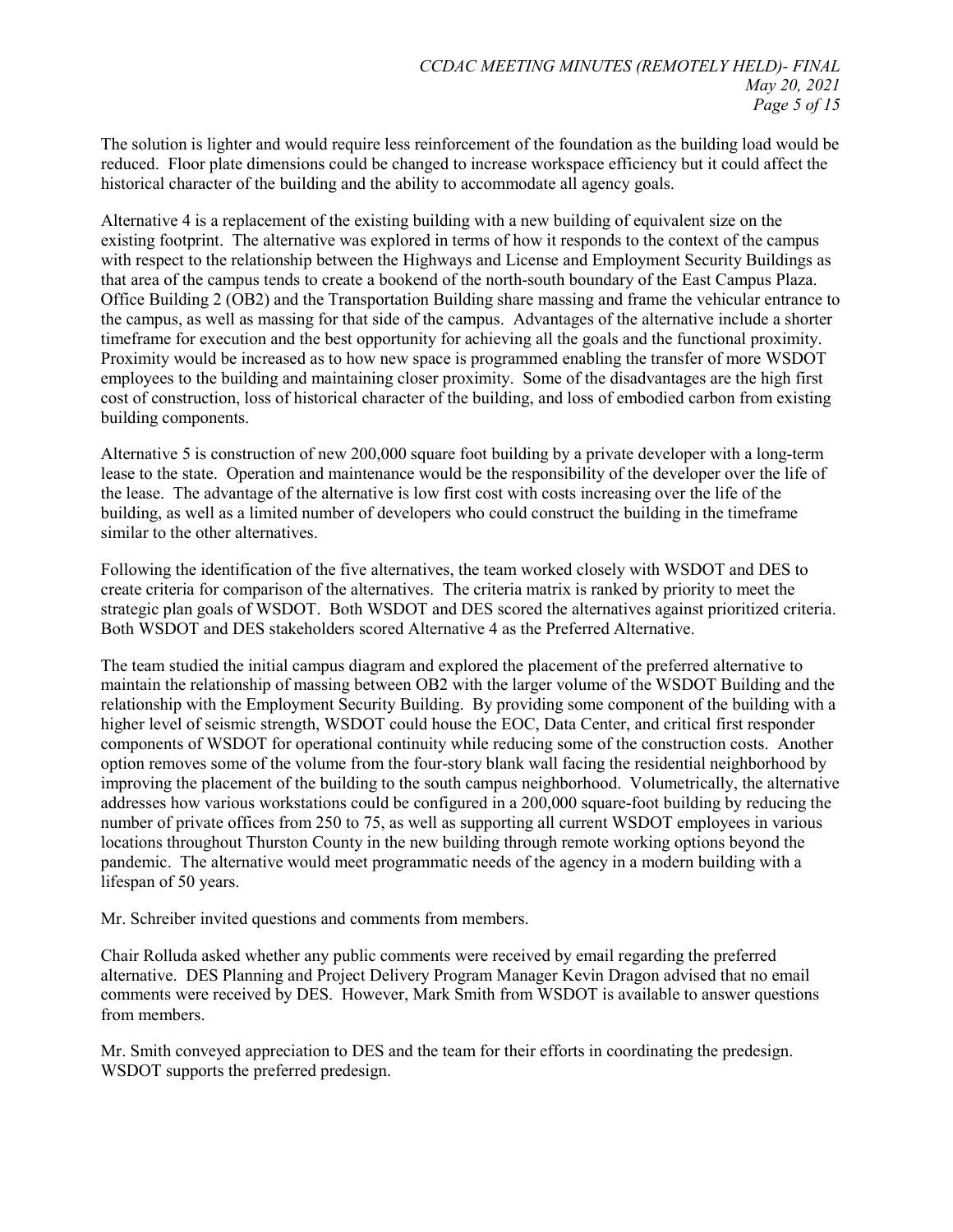The solution is lighter and would require less reinforcement of the foundation as the building load would be reduced. Floor plate dimensions could be changed to increase workspace efficiency but it could affect the historical character of the building and the ability to accommodate all agency goals.

Alternative 4 is a replacement of the existing building with a new building of equivalent size on the existing footprint. The alternative was explored in terms of how it responds to the context of the campus with respect to the relationship between the Highways and License and Employment Security Buildings as that area of the campus tends to create a bookend of the north-south boundary of the East Campus Plaza. Office Building 2 (OB2) and the Transportation Building share massing and frame the vehicular entrance to the campus, as well as massing for that side of the campus. Advantages of the alternative include a shorter timeframe for execution and the best opportunity for achieving all the goals and the functional proximity. Proximity would be increased as to how new space is programmed enabling the transfer of more WSDOT employees to the building and maintaining closer proximity. Some of the disadvantages are the high first cost of construction, loss of historical character of the building, and loss of embodied carbon from existing building components.

Alternative 5 is construction of new 200,000 square foot building by a private developer with a long-term lease to the state. Operation and maintenance would be the responsibility of the developer over the life of the lease. The advantage of the alternative is low first cost with costs increasing over the life of the building, as well as a limited number of developers who could construct the building in the timeframe similar to the other alternatives.

Following the identification of the five alternatives, the team worked closely with WSDOT and DES to create criteria for comparison of the alternatives. The criteria matrix is ranked by priority to meet the strategic plan goals of WSDOT. Both WSDOT and DES scored the alternatives against prioritized criteria. Both WSDOT and DES stakeholders scored Alternative 4 as the Preferred Alternative.

The team studied the initial campus diagram and explored the placement of the preferred alternative to maintain the relationship of massing between OB2 with the larger volume of the WSDOT Building and the relationship with the Employment Security Building. By providing some component of the building with a higher level of seismic strength, WSDOT could house the EOC, Data Center, and critical first responder components of WSDOT for operational continuity while reducing some of the construction costs. Another option removes some of the volume from the four-story blank wall facing the residential neighborhood by improving the placement of the building to the south campus neighborhood. Volumetrically, the alternative addresses how various workstations could be configured in a 200,000 square-foot building by reducing the number of private offices from 250 to 75, as well as supporting all current WSDOT employees in various locations throughout Thurston County in the new building through remote working options beyond the pandemic. The alternative would meet programmatic needs of the agency in a modern building with a lifespan of 50 years.

Mr. Schreiber invited questions and comments from members.

Chair Rolluda asked whether any public comments were received by email regarding the preferred alternative. DES Planning and Project Delivery Program Manager Kevin Dragon advised that no email comments were received by DES. However, Mark Smith from WSDOT is available to answer questions from members.

Mr. Smith conveyed appreciation to DES and the team for their efforts in coordinating the predesign. WSDOT supports the preferred predesign.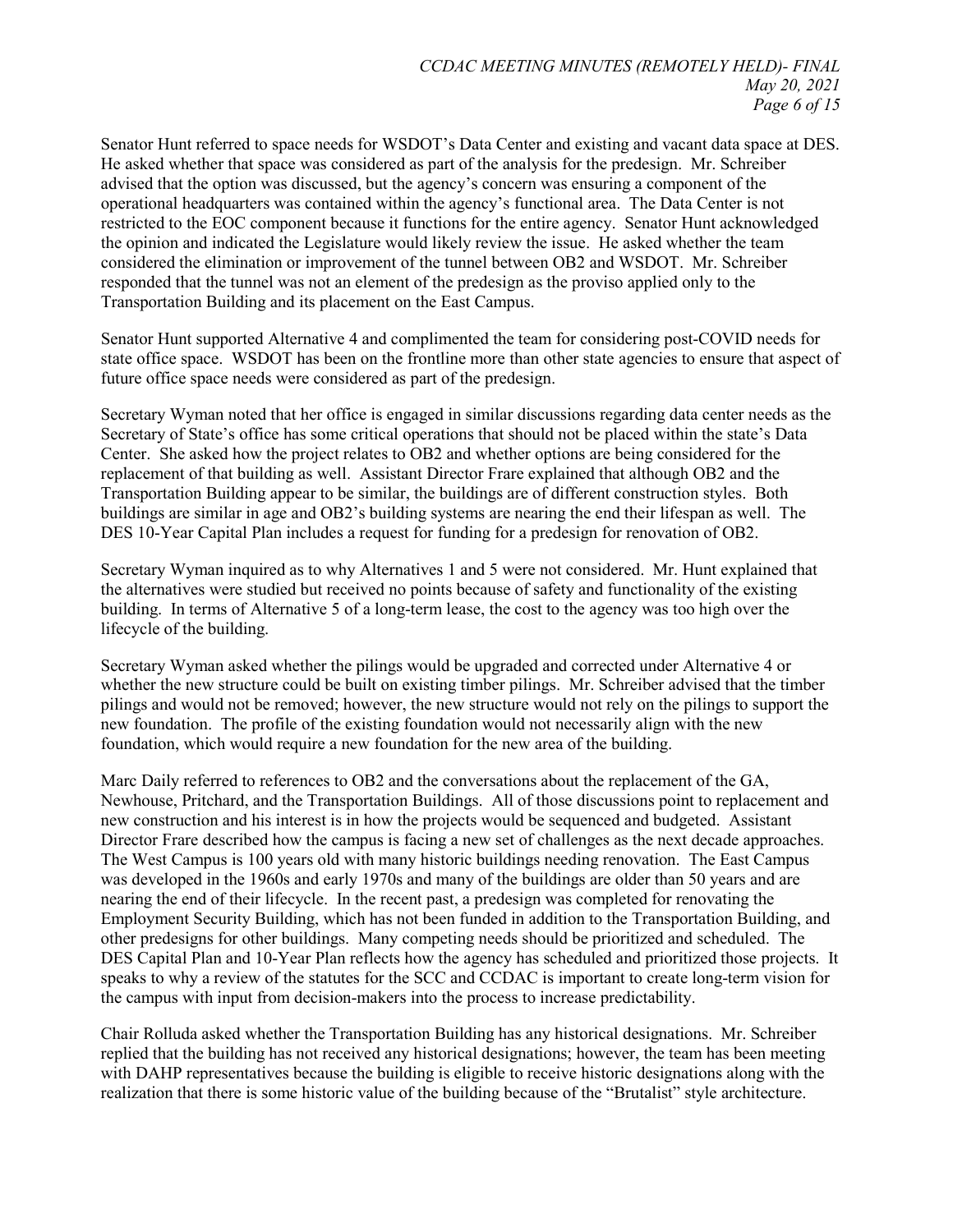Senator Hunt referred to space needs for WSDOT's Data Center and existing and vacant data space at DES. He asked whether that space was considered as part of the analysis for the predesign. Mr. Schreiber advised that the option was discussed, but the agency's concern was ensuring a component of the operational headquarters was contained within the agency's functional area. The Data Center is not restricted to the EOC component because it functions for the entire agency. Senator Hunt acknowledged the opinion and indicated the Legislature would likely review the issue. He asked whether the team considered the elimination or improvement of the tunnel between OB2 and WSDOT. Mr. Schreiber responded that the tunnel was not an element of the predesign as the proviso applied only to the Transportation Building and its placement on the East Campus.

Senator Hunt supported Alternative 4 and complimented the team for considering post-COVID needs for state office space. WSDOT has been on the frontline more than other state agencies to ensure that aspect of future office space needs were considered as part of the predesign.

Secretary Wyman noted that her office is engaged in similar discussions regarding data center needs as the Secretary of State's office has some critical operations that should not be placed within the state's Data Center. She asked how the project relates to OB2 and whether options are being considered for the replacement of that building as well. Assistant Director Frare explained that although OB2 and the Transportation Building appear to be similar, the buildings are of different construction styles. Both buildings are similar in age and OB2's building systems are nearing the end their lifespan as well. The DES 10-Year Capital Plan includes a request for funding for a predesign for renovation of OB2.

Secretary Wyman inquired as to why Alternatives 1 and 5 were not considered. Mr. Hunt explained that the alternatives were studied but received no points because of safety and functionality of the existing building. In terms of Alternative 5 of a long-term lease, the cost to the agency was too high over the lifecycle of the building.

Secretary Wyman asked whether the pilings would be upgraded and corrected under Alternative 4 or whether the new structure could be built on existing timber pilings. Mr. Schreiber advised that the timber pilings and would not be removed; however, the new structure would not rely on the pilings to support the new foundation. The profile of the existing foundation would not necessarily align with the new foundation, which would require a new foundation for the new area of the building.

Marc Daily referred to references to OB2 and the conversations about the replacement of the GA, Newhouse, Pritchard, and the Transportation Buildings. All of those discussions point to replacement and new construction and his interest is in how the projects would be sequenced and budgeted. Assistant Director Frare described how the campus is facing a new set of challenges as the next decade approaches. The West Campus is 100 years old with many historic buildings needing renovation. The East Campus was developed in the 1960s and early 1970s and many of the buildings are older than 50 years and are nearing the end of their lifecycle. In the recent past, a predesign was completed for renovating the Employment Security Building, which has not been funded in addition to the Transportation Building, and other predesigns for other buildings. Many competing needs should be prioritized and scheduled. The DES Capital Plan and 10-Year Plan reflects how the agency has scheduled and prioritized those projects. It speaks to why a review of the statutes for the SCC and CCDAC is important to create long-term vision for the campus with input from decision-makers into the process to increase predictability.

Chair Rolluda asked whether the Transportation Building has any historical designations. Mr. Schreiber replied that the building has not received any historical designations; however, the team has been meeting with DAHP representatives because the building is eligible to receive historic designations along with the realization that there is some historic value of the building because of the "Brutalist" style architecture.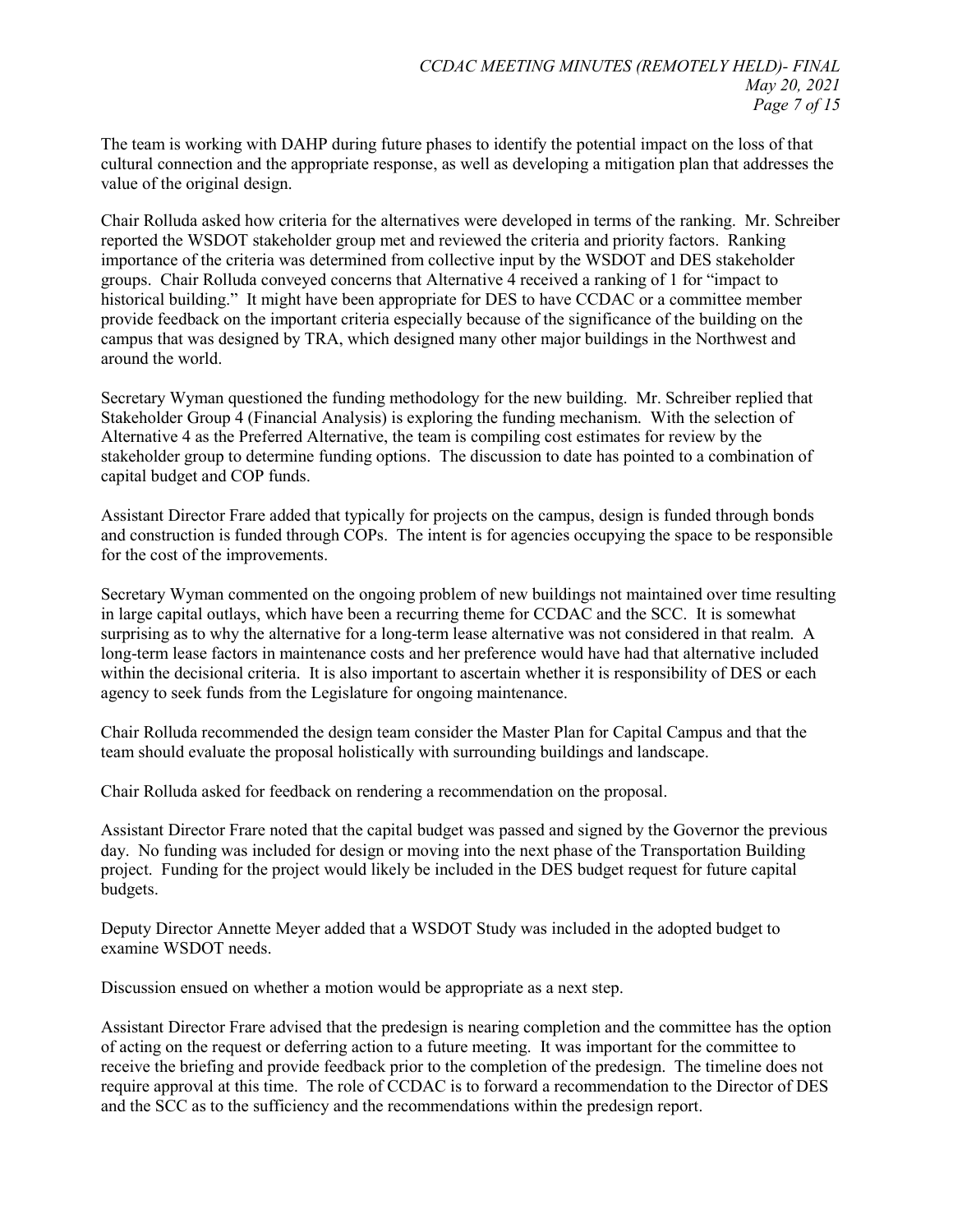The team is working with DAHP during future phases to identify the potential impact on the loss of that cultural connection and the appropriate response, as well as developing a mitigation plan that addresses the value of the original design.

Chair Rolluda asked how criteria for the alternatives were developed in terms of the ranking. Mr. Schreiber reported the WSDOT stakeholder group met and reviewed the criteria and priority factors. Ranking importance of the criteria was determined from collective input by the WSDOT and DES stakeholder groups. Chair Rolluda conveyed concerns that Alternative 4 received a ranking of 1 for "impact to historical building." It might have been appropriate for DES to have CCDAC or a committee member provide feedback on the important criteria especially because of the significance of the building on the campus that was designed by TRA, which designed many other major buildings in the Northwest and around the world.

Secretary Wyman questioned the funding methodology for the new building. Mr. Schreiber replied that Stakeholder Group 4 (Financial Analysis) is exploring the funding mechanism. With the selection of Alternative 4 as the Preferred Alternative, the team is compiling cost estimates for review by the stakeholder group to determine funding options. The discussion to date has pointed to a combination of capital budget and COP funds.

Assistant Director Frare added that typically for projects on the campus, design is funded through bonds and construction is funded through COPs. The intent is for agencies occupying the space to be responsible for the cost of the improvements.

Secretary Wyman commented on the ongoing problem of new buildings not maintained over time resulting in large capital outlays, which have been a recurring theme for CCDAC and the SCC. It is somewhat surprising as to why the alternative for a long-term lease alternative was not considered in that realm. A long-term lease factors in maintenance costs and her preference would have had that alternative included within the decisional criteria. It is also important to ascertain whether it is responsibility of DES or each agency to seek funds from the Legislature for ongoing maintenance.

Chair Rolluda recommended the design team consider the Master Plan for Capital Campus and that the team should evaluate the proposal holistically with surrounding buildings and landscape.

Chair Rolluda asked for feedback on rendering a recommendation on the proposal.

Assistant Director Frare noted that the capital budget was passed and signed by the Governor the previous day. No funding was included for design or moving into the next phase of the Transportation Building project. Funding for the project would likely be included in the DES budget request for future capital budgets.

Deputy Director Annette Meyer added that a WSDOT Study was included in the adopted budget to examine WSDOT needs.

Discussion ensued on whether a motion would be appropriate as a next step.

Assistant Director Frare advised that the predesign is nearing completion and the committee has the option of acting on the request or deferring action to a future meeting. It was important for the committee to receive the briefing and provide feedback prior to the completion of the predesign. The timeline does not require approval at this time. The role of CCDAC is to forward a recommendation to the Director of DES and the SCC as to the sufficiency and the recommendations within the predesign report.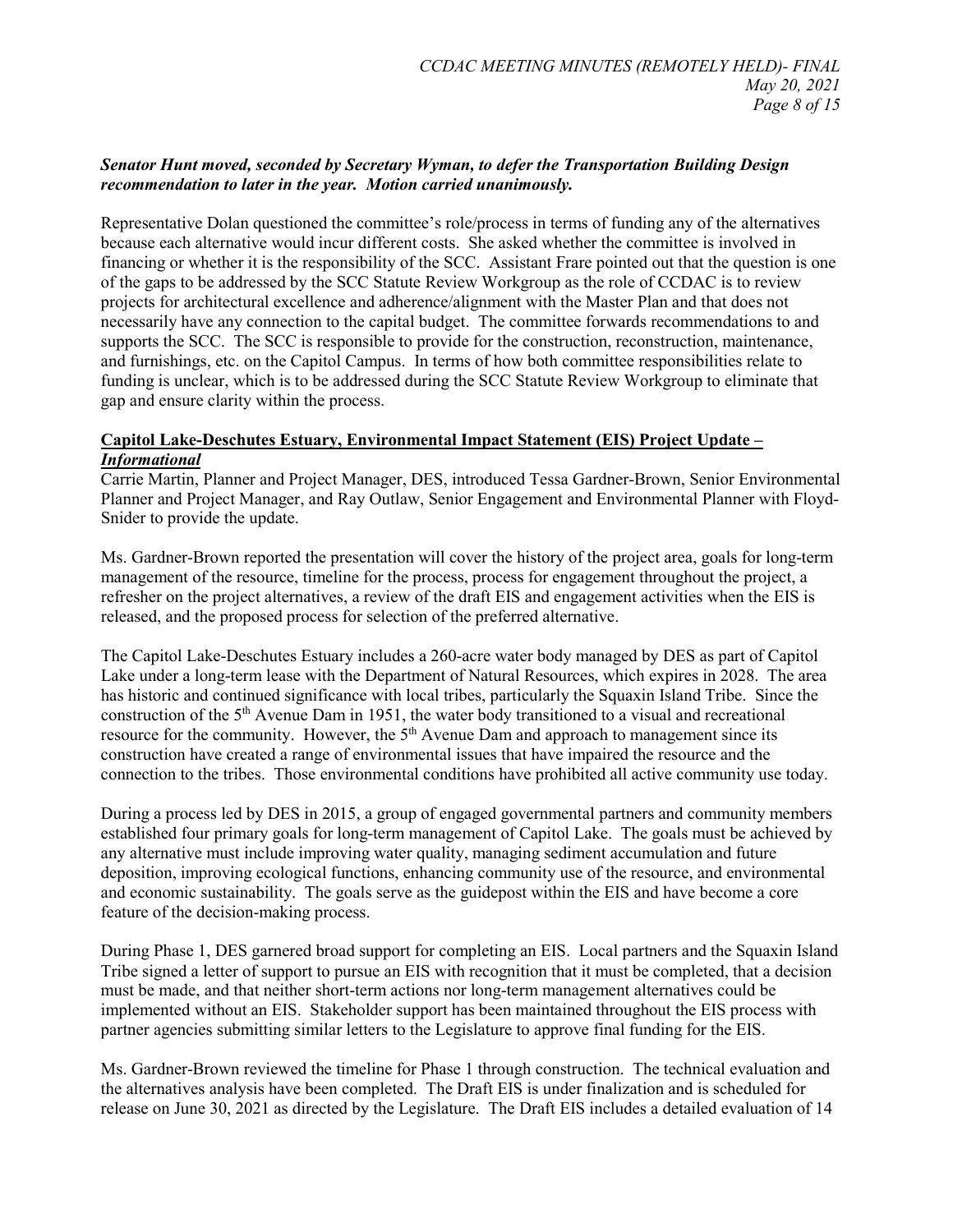#### *Senator Hunt moved, seconded by Secretary Wyman, to defer the Transportation Building Design recommendation to later in the year. Motion carried unanimously.*

Representative Dolan questioned the committee's role/process in terms of funding any of the alternatives because each alternative would incur different costs. She asked whether the committee is involved in financing or whether it is the responsibility of the SCC. Assistant Frare pointed out that the question is one of the gaps to be addressed by the SCC Statute Review Workgroup as the role of CCDAC is to review projects for architectural excellence and adherence/alignment with the Master Plan and that does not necessarily have any connection to the capital budget. The committee forwards recommendations to and supports the SCC. The SCC is responsible to provide for the construction, reconstruction, maintenance, and furnishings, etc. on the Capitol Campus. In terms of how both committee responsibilities relate to funding is unclear, which is to be addressed during the SCC Statute Review Workgroup to eliminate that gap and ensure clarity within the process.

#### **Capitol Lake-Deschutes Estuary, Environmental Impact Statement (EIS) Project Update –** *Informational*

Carrie Martin, Planner and Project Manager, DES, introduced Tessa Gardner-Brown, Senior Environmental Planner and Project Manager, and Ray Outlaw, Senior Engagement and Environmental Planner with Floyd-Snider to provide the update.

Ms. Gardner-Brown reported the presentation will cover the history of the project area, goals for long-term management of the resource, timeline for the process, process for engagement throughout the project, a refresher on the project alternatives, a review of the draft EIS and engagement activities when the EIS is released, and the proposed process for selection of the preferred alternative.

The Capitol Lake-Deschutes Estuary includes a 260-acre water body managed by DES as part of Capitol Lake under a long-term lease with the Department of Natural Resources, which expires in 2028. The area has historic and continued significance with local tribes, particularly the Squaxin Island Tribe. Since the construction of the 5<sup>th</sup> Avenue Dam in 1951, the water body transitioned to a visual and recreational resource for the community. However, the 5<sup>th</sup> Avenue Dam and approach to management since its construction have created a range of environmental issues that have impaired the resource and the connection to the tribes. Those environmental conditions have prohibited all active community use today.

During a process led by DES in 2015, a group of engaged governmental partners and community members established four primary goals for long-term management of Capitol Lake. The goals must be achieved by any alternative must include improving water quality, managing sediment accumulation and future deposition, improving ecological functions, enhancing community use of the resource, and environmental and economic sustainability. The goals serve as the guidepost within the EIS and have become a core feature of the decision-making process.

During Phase 1, DES garnered broad support for completing an EIS. Local partners and the Squaxin Island Tribe signed a letter of support to pursue an EIS with recognition that it must be completed, that a decision must be made, and that neither short-term actions nor long-term management alternatives could be implemented without an EIS. Stakeholder support has been maintained throughout the EIS process with partner agencies submitting similar letters to the Legislature to approve final funding for the EIS.

Ms. Gardner-Brown reviewed the timeline for Phase 1 through construction. The technical evaluation and the alternatives analysis have been completed. The Draft EIS is under finalization and is scheduled for release on June 30, 2021 as directed by the Legislature. The Draft EIS includes a detailed evaluation of 14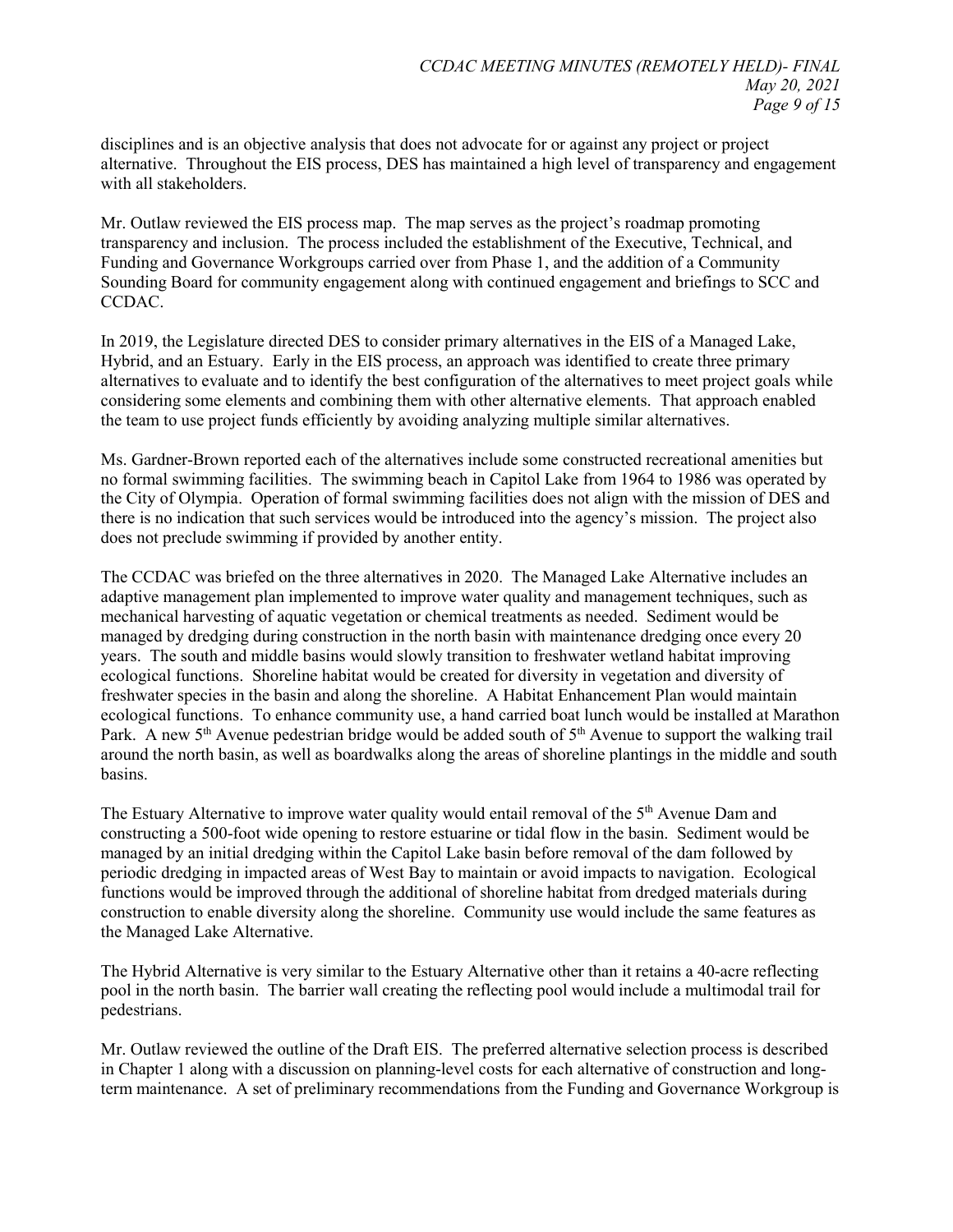disciplines and is an objective analysis that does not advocate for or against any project or project alternative. Throughout the EIS process, DES has maintained a high level of transparency and engagement with all stakeholders.

Mr. Outlaw reviewed the EIS process map. The map serves as the project's roadmap promoting transparency and inclusion. The process included the establishment of the Executive, Technical, and Funding and Governance Workgroups carried over from Phase 1, and the addition of a Community Sounding Board for community engagement along with continued engagement and briefings to SCC and CCDAC.

In 2019, the Legislature directed DES to consider primary alternatives in the EIS of a Managed Lake, Hybrid, and an Estuary. Early in the EIS process, an approach was identified to create three primary alternatives to evaluate and to identify the best configuration of the alternatives to meet project goals while considering some elements and combining them with other alternative elements. That approach enabled the team to use project funds efficiently by avoiding analyzing multiple similar alternatives.

Ms. Gardner-Brown reported each of the alternatives include some constructed recreational amenities but no formal swimming facilities. The swimming beach in Capitol Lake from 1964 to 1986 was operated by the City of Olympia. Operation of formal swimming facilities does not align with the mission of DES and there is no indication that such services would be introduced into the agency's mission. The project also does not preclude swimming if provided by another entity.

The CCDAC was briefed on the three alternatives in 2020. The Managed Lake Alternative includes an adaptive management plan implemented to improve water quality and management techniques, such as mechanical harvesting of aquatic vegetation or chemical treatments as needed. Sediment would be managed by dredging during construction in the north basin with maintenance dredging once every 20 years. The south and middle basins would slowly transition to freshwater wetland habitat improving ecological functions. Shoreline habitat would be created for diversity in vegetation and diversity of freshwater species in the basin and along the shoreline. A Habitat Enhancement Plan would maintain ecological functions. To enhance community use, a hand carried boat lunch would be installed at Marathon Park. A new 5<sup>th</sup> Avenue pedestrian bridge would be added south of 5<sup>th</sup> Avenue to support the walking trail around the north basin, as well as boardwalks along the areas of shoreline plantings in the middle and south basins.

The Estuary Alternative to improve water quality would entail removal of the 5<sup>th</sup> Avenue Dam and constructing a 500-foot wide opening to restore estuarine or tidal flow in the basin. Sediment would be managed by an initial dredging within the Capitol Lake basin before removal of the dam followed by periodic dredging in impacted areas of West Bay to maintain or avoid impacts to navigation. Ecological functions would be improved through the additional of shoreline habitat from dredged materials during construction to enable diversity along the shoreline. Community use would include the same features as the Managed Lake Alternative.

The Hybrid Alternative is very similar to the Estuary Alternative other than it retains a 40-acre reflecting pool in the north basin. The barrier wall creating the reflecting pool would include a multimodal trail for pedestrians.

Mr. Outlaw reviewed the outline of the Draft EIS. The preferred alternative selection process is described in Chapter 1 along with a discussion on planning-level costs for each alternative of construction and longterm maintenance. A set of preliminary recommendations from the Funding and Governance Workgroup is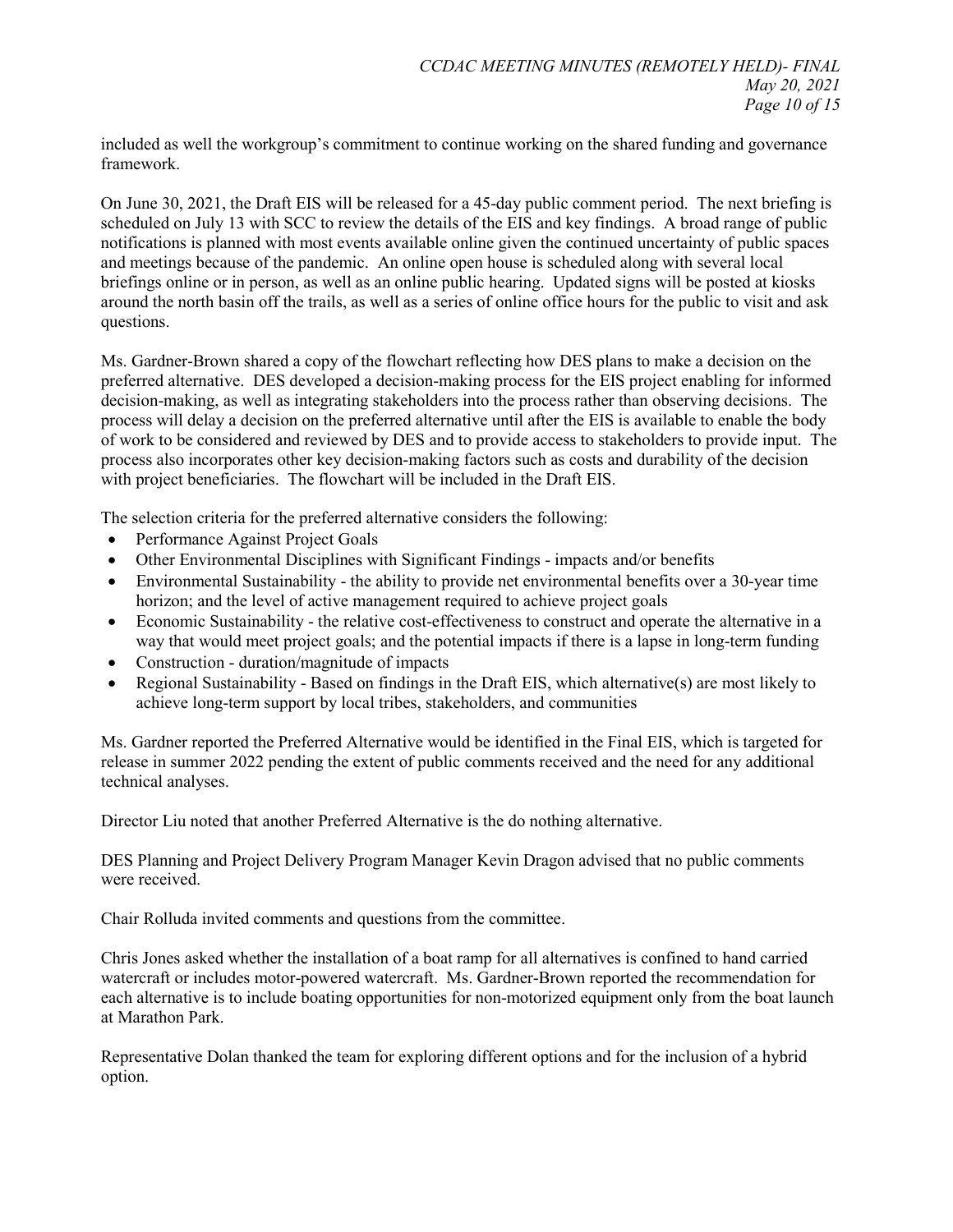included as well the workgroup's commitment to continue working on the shared funding and governance framework.

On June 30, 2021, the Draft EIS will be released for a 45-day public comment period. The next briefing is scheduled on July 13 with SCC to review the details of the EIS and key findings. A broad range of public notifications is planned with most events available online given the continued uncertainty of public spaces and meetings because of the pandemic. An online open house is scheduled along with several local briefings online or in person, as well as an online public hearing. Updated signs will be posted at kiosks around the north basin off the trails, as well as a series of online office hours for the public to visit and ask questions.

Ms. Gardner-Brown shared a copy of the flowchart reflecting how DES plans to make a decision on the preferred alternative. DES developed a decision-making process for the EIS project enabling for informed decision-making, as well as integrating stakeholders into the process rather than observing decisions. The process will delay a decision on the preferred alternative until after the EIS is available to enable the body of work to be considered and reviewed by DES and to provide access to stakeholders to provide input. The process also incorporates other key decision-making factors such as costs and durability of the decision with project beneficiaries. The flowchart will be included in the Draft EIS.

The selection criteria for the preferred alternative considers the following:

- Performance Against Project Goals
- Other Environmental Disciplines with Significant Findings impacts and/or benefits
- Environmental Sustainability the ability to provide net environmental benefits over a 30-year time horizon; and the level of active management required to achieve project goals
- Economic Sustainability the relative cost-effectiveness to construct and operate the alternative in a way that would meet project goals; and the potential impacts if there is a lapse in long-term funding
- Construction duration/magnitude of impacts
- Regional Sustainability Based on findings in the Draft EIS, which alternative(s) are most likely to achieve long-term support by local tribes, stakeholders, and communities

Ms. Gardner reported the Preferred Alternative would be identified in the Final EIS, which is targeted for release in summer 2022 pending the extent of public comments received and the need for any additional technical analyses.

Director Liu noted that another Preferred Alternative is the do nothing alternative.

DES Planning and Project Delivery Program Manager Kevin Dragon advised that no public comments were received.

Chair Rolluda invited comments and questions from the committee.

Chris Jones asked whether the installation of a boat ramp for all alternatives is confined to hand carried watercraft or includes motor-powered watercraft. Ms. Gardner-Brown reported the recommendation for each alternative is to include boating opportunities for non-motorized equipment only from the boat launch at Marathon Park.

Representative Dolan thanked the team for exploring different options and for the inclusion of a hybrid option.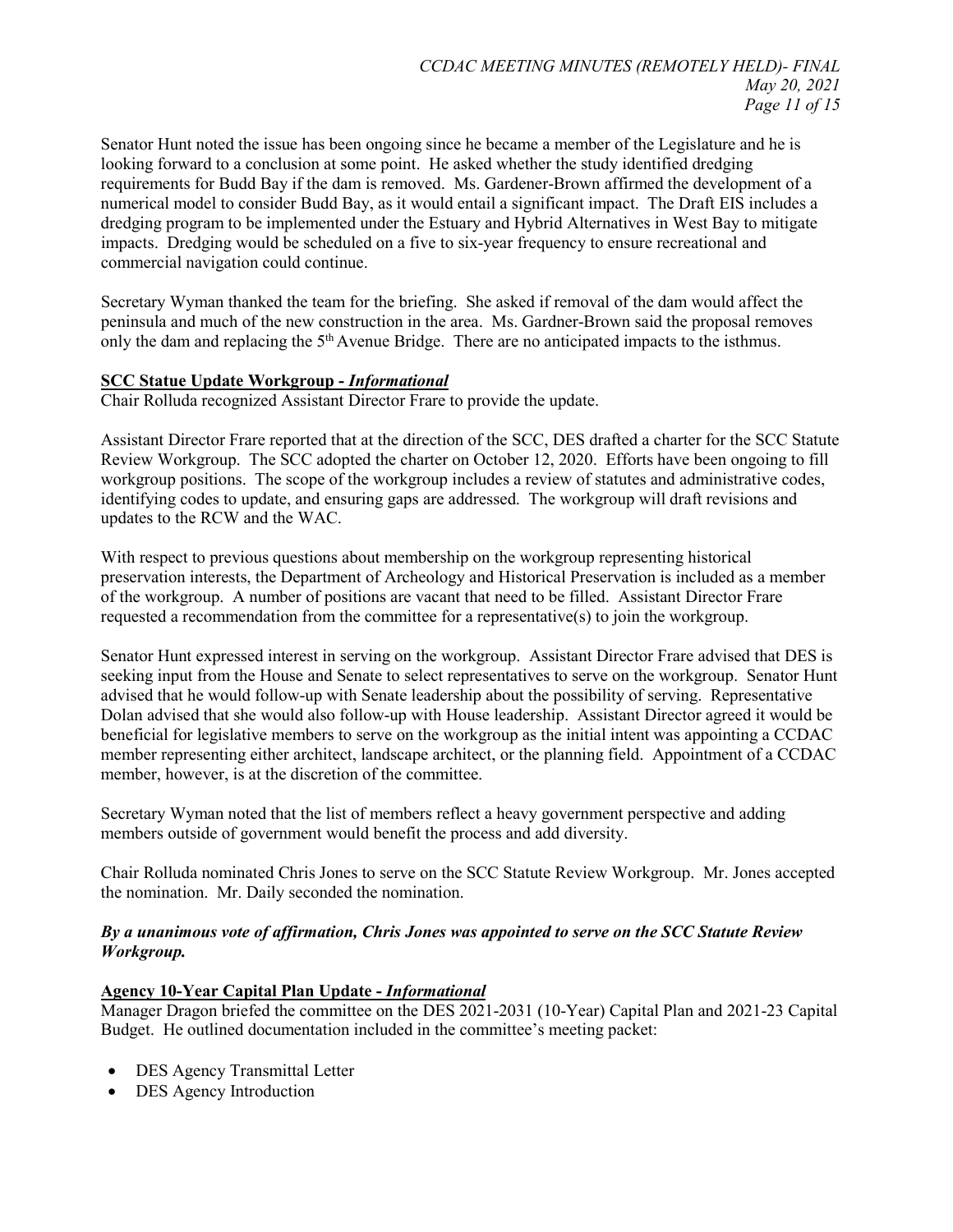Senator Hunt noted the issue has been ongoing since he became a member of the Legislature and he is looking forward to a conclusion at some point. He asked whether the study identified dredging requirements for Budd Bay if the dam is removed. Ms. Gardener-Brown affirmed the development of a numerical model to consider Budd Bay, as it would entail a significant impact. The Draft EIS includes a dredging program to be implemented under the Estuary and Hybrid Alternatives in West Bay to mitigate impacts. Dredging would be scheduled on a five to six-year frequency to ensure recreational and commercial navigation could continue.

Secretary Wyman thanked the team for the briefing. She asked if removal of the dam would affect the peninsula and much of the new construction in the area. Ms. Gardner-Brown said the proposal removes only the dam and replacing the  $5<sup>th</sup>$  Avenue Bridge. There are no anticipated impacts to the isthmus.

#### **SCC Statue Update Workgroup -** *Informational*

Chair Rolluda recognized Assistant Director Frare to provide the update.

Assistant Director Frare reported that at the direction of the SCC, DES drafted a charter for the SCC Statute Review Workgroup. The SCC adopted the charter on October 12, 2020. Efforts have been ongoing to fill workgroup positions. The scope of the workgroup includes a review of statutes and administrative codes, identifying codes to update, and ensuring gaps are addressed. The workgroup will draft revisions and updates to the RCW and the WAC.

With respect to previous questions about membership on the workgroup representing historical preservation interests, the Department of Archeology and Historical Preservation is included as a member of the workgroup. A number of positions are vacant that need to be filled. Assistant Director Frare requested a recommendation from the committee for a representative(s) to join the workgroup.

Senator Hunt expressed interest in serving on the workgroup. Assistant Director Frare advised that DES is seeking input from the House and Senate to select representatives to serve on the workgroup. Senator Hunt advised that he would follow-up with Senate leadership about the possibility of serving. Representative Dolan advised that she would also follow-up with House leadership. Assistant Director agreed it would be beneficial for legislative members to serve on the workgroup as the initial intent was appointing a CCDAC member representing either architect, landscape architect, or the planning field. Appointment of a CCDAC member, however, is at the discretion of the committee.

Secretary Wyman noted that the list of members reflect a heavy government perspective and adding members outside of government would benefit the process and add diversity.

Chair Rolluda nominated Chris Jones to serve on the SCC Statute Review Workgroup. Mr. Jones accepted the nomination. Mr. Daily seconded the nomination.

#### *By a unanimous vote of affirmation, Chris Jones was appointed to serve on the SCC Statute Review Workgroup.*

#### **Agency 10-Year Capital Plan Update -** *Informational*

Manager Dragon briefed the committee on the DES 2021-2031 (10-Year) Capital Plan and 2021-23 Capital Budget. He outlined documentation included in the committee's meeting packet:

- DES Agency Transmittal Letter
- DES Agency Introduction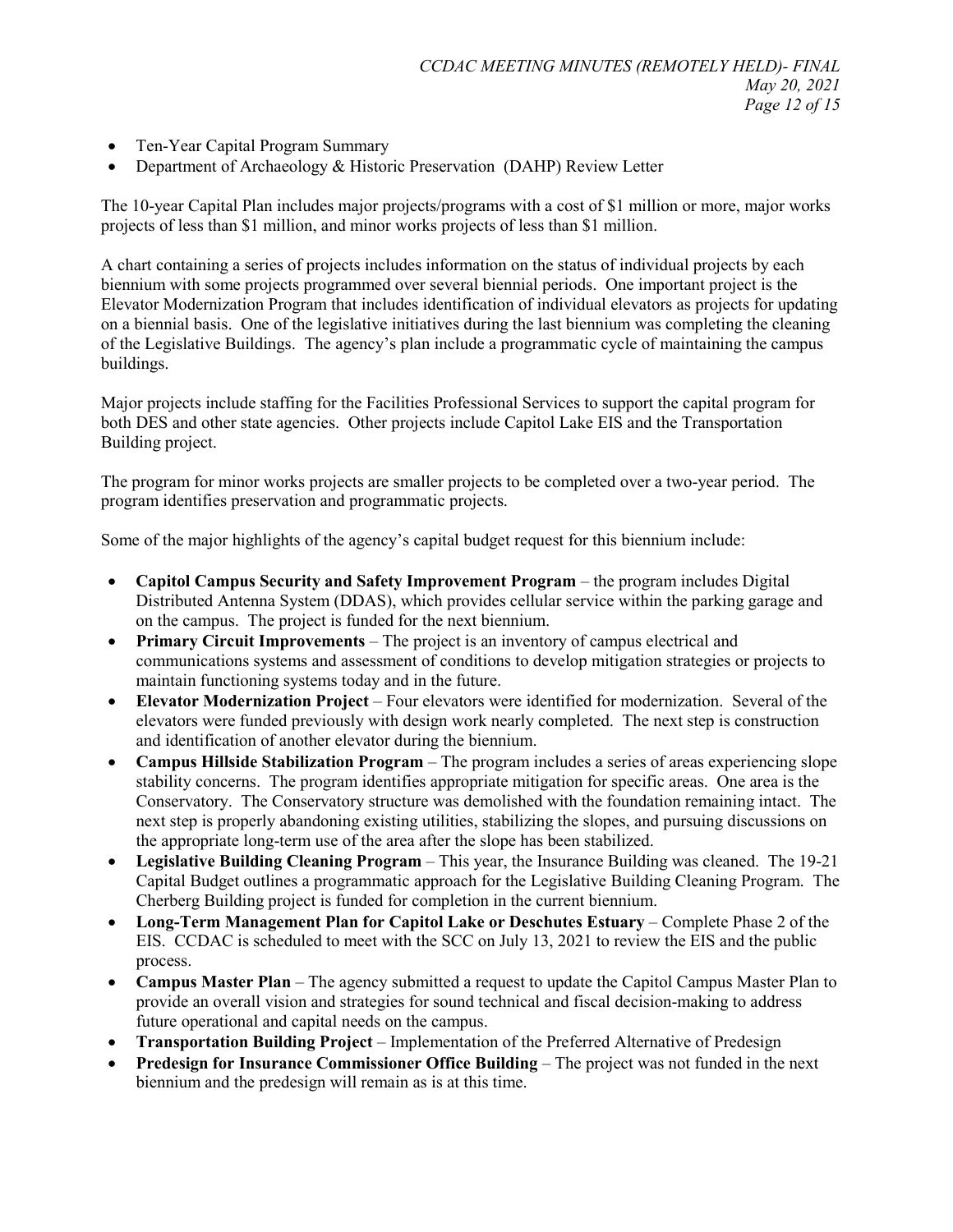- Ten-Year Capital Program Summary
- Department of Archaeology & Historic Preservation (DAHP) Review Letter

The 10-year Capital Plan includes major projects/programs with a cost of \$1 million or more, major works projects of less than \$1 million, and minor works projects of less than \$1 million.

A chart containing a series of projects includes information on the status of individual projects by each biennium with some projects programmed over several biennial periods. One important project is the Elevator Modernization Program that includes identification of individual elevators as projects for updating on a biennial basis. One of the legislative initiatives during the last biennium was completing the cleaning of the Legislative Buildings. The agency's plan include a programmatic cycle of maintaining the campus buildings.

Major projects include staffing for the Facilities Professional Services to support the capital program for both DES and other state agencies. Other projects include Capitol Lake EIS and the Transportation Building project.

The program for minor works projects are smaller projects to be completed over a two-year period. The program identifies preservation and programmatic projects.

Some of the major highlights of the agency's capital budget request for this biennium include:

- **Capitol Campus Security and Safety Improvement Program** the program includes Digital Distributed Antenna System (DDAS), which provides cellular service within the parking garage and on the campus. The project is funded for the next biennium.
- **Primary Circuit Improvements** The project is an inventory of campus electrical and communications systems and assessment of conditions to develop mitigation strategies or projects to maintain functioning systems today and in the future.
- **Elevator Modernization Project** Four elevators were identified for modernization. Several of the elevators were funded previously with design work nearly completed. The next step is construction and identification of another elevator during the biennium.
- **Campus Hillside Stabilization Program** The program includes a series of areas experiencing slope stability concerns. The program identifies appropriate mitigation for specific areas. One area is the Conservatory. The Conservatory structure was demolished with the foundation remaining intact. The next step is properly abandoning existing utilities, stabilizing the slopes, and pursuing discussions on the appropriate long-term use of the area after the slope has been stabilized.
- **Legislative Building Cleaning Program** This year, the Insurance Building was cleaned. The 19-21 Capital Budget outlines a programmatic approach for the Legislative Building Cleaning Program. The Cherberg Building project is funded for completion in the current biennium.
- **Long-Term Management Plan for Capitol Lake or Deschutes Estuary** Complete Phase 2 of the EIS. CCDAC is scheduled to meet with the SCC on July 13, 2021 to review the EIS and the public process.
- **Campus Master Plan** The agency submitted a request to update the Capitol Campus Master Plan to provide an overall vision and strategies for sound technical and fiscal decision-making to address future operational and capital needs on the campus.
- **Transportation Building Project** Implementation of the Preferred Alternative of Predesign
- **Predesign for Insurance Commissioner Office Building** The project was not funded in the next biennium and the predesign will remain as is at this time.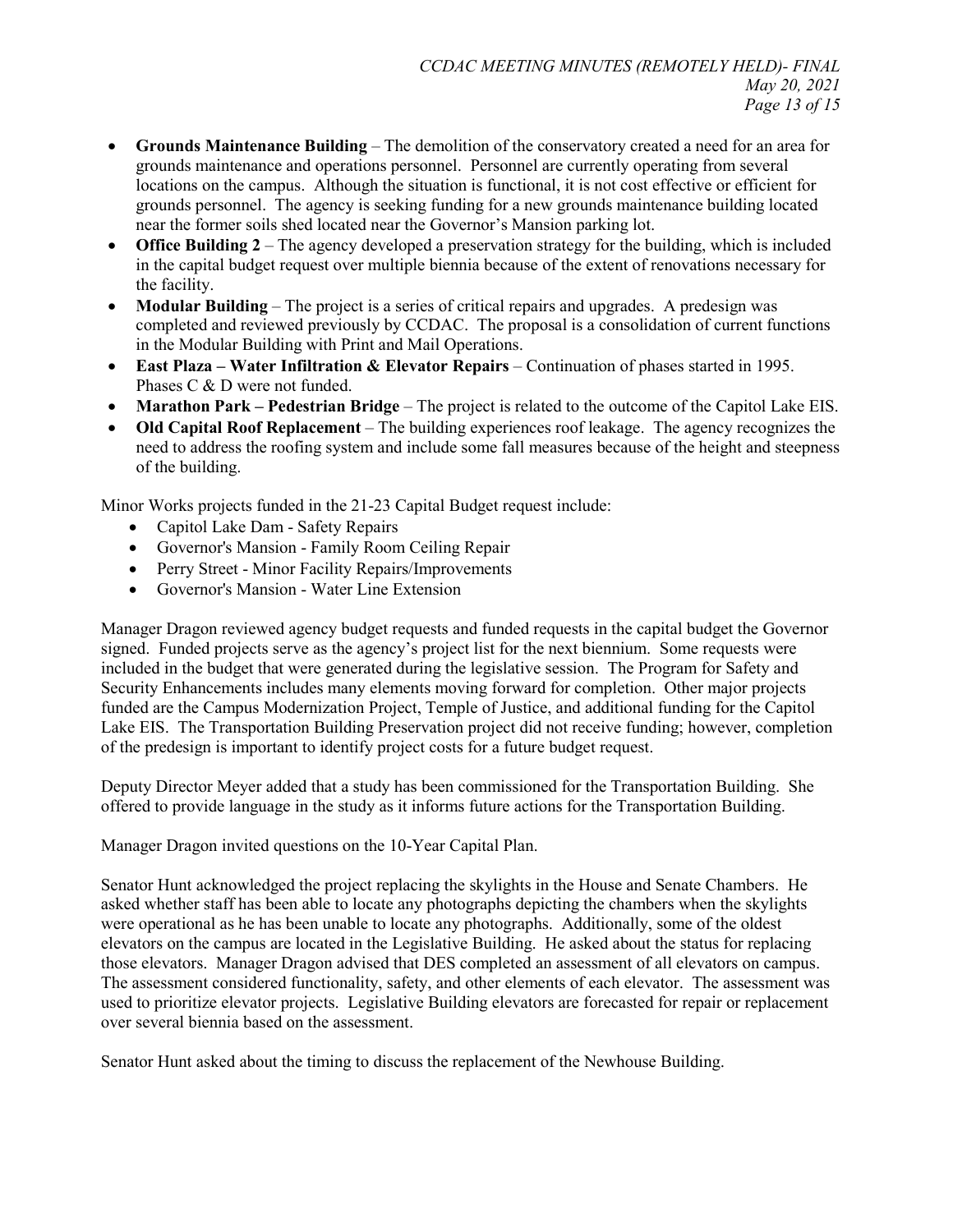- **Grounds Maintenance Building** The demolition of the conservatory created a need for an area for grounds maintenance and operations personnel. Personnel are currently operating from several locations on the campus. Although the situation is functional, it is not cost effective or efficient for grounds personnel. The agency is seeking funding for a new grounds maintenance building located near the former soils shed located near the Governor's Mansion parking lot.
- **Office Building 2** The agency developed a preservation strategy for the building, which is included in the capital budget request over multiple biennia because of the extent of renovations necessary for the facility.
- **Modular Building** The project is a series of critical repairs and upgrades. A predesign was completed and reviewed previously by CCDAC. The proposal is a consolidation of current functions in the Modular Building with Print and Mail Operations.
- **East Plaza – Water Infiltration & Elevator Repairs** Continuation of phases started in 1995. Phases C & D were not funded.
- **Marathon Park – Pedestrian Bridge** The project is related to the outcome of the Capitol Lake EIS.
- **Old Capital Roof Replacement** The building experiences roof leakage. The agency recognizes the need to address the roofing system and include some fall measures because of the height and steepness of the building.

Minor Works projects funded in the 21-23 Capital Budget request include:

- Capitol Lake Dam Safety Repairs
- Governor's Mansion Family Room Ceiling Repair
- Perry Street Minor Facility Repairs/Improvements
- Governor's Mansion Water Line Extension

Manager Dragon reviewed agency budget requests and funded requests in the capital budget the Governor signed. Funded projects serve as the agency's project list for the next biennium. Some requests were included in the budget that were generated during the legislative session. The Program for Safety and Security Enhancements includes many elements moving forward for completion. Other major projects funded are the Campus Modernization Project, Temple of Justice, and additional funding for the Capitol Lake EIS. The Transportation Building Preservation project did not receive funding; however, completion of the predesign is important to identify project costs for a future budget request.

Deputy Director Meyer added that a study has been commissioned for the Transportation Building. She offered to provide language in the study as it informs future actions for the Transportation Building.

Manager Dragon invited questions on the 10-Year Capital Plan.

Senator Hunt acknowledged the project replacing the skylights in the House and Senate Chambers. He asked whether staff has been able to locate any photographs depicting the chambers when the skylights were operational as he has been unable to locate any photographs. Additionally, some of the oldest elevators on the campus are located in the Legislative Building. He asked about the status for replacing those elevators. Manager Dragon advised that DES completed an assessment of all elevators on campus. The assessment considered functionality, safety, and other elements of each elevator. The assessment was used to prioritize elevator projects. Legislative Building elevators are forecasted for repair or replacement over several biennia based on the assessment.

Senator Hunt asked about the timing to discuss the replacement of the Newhouse Building.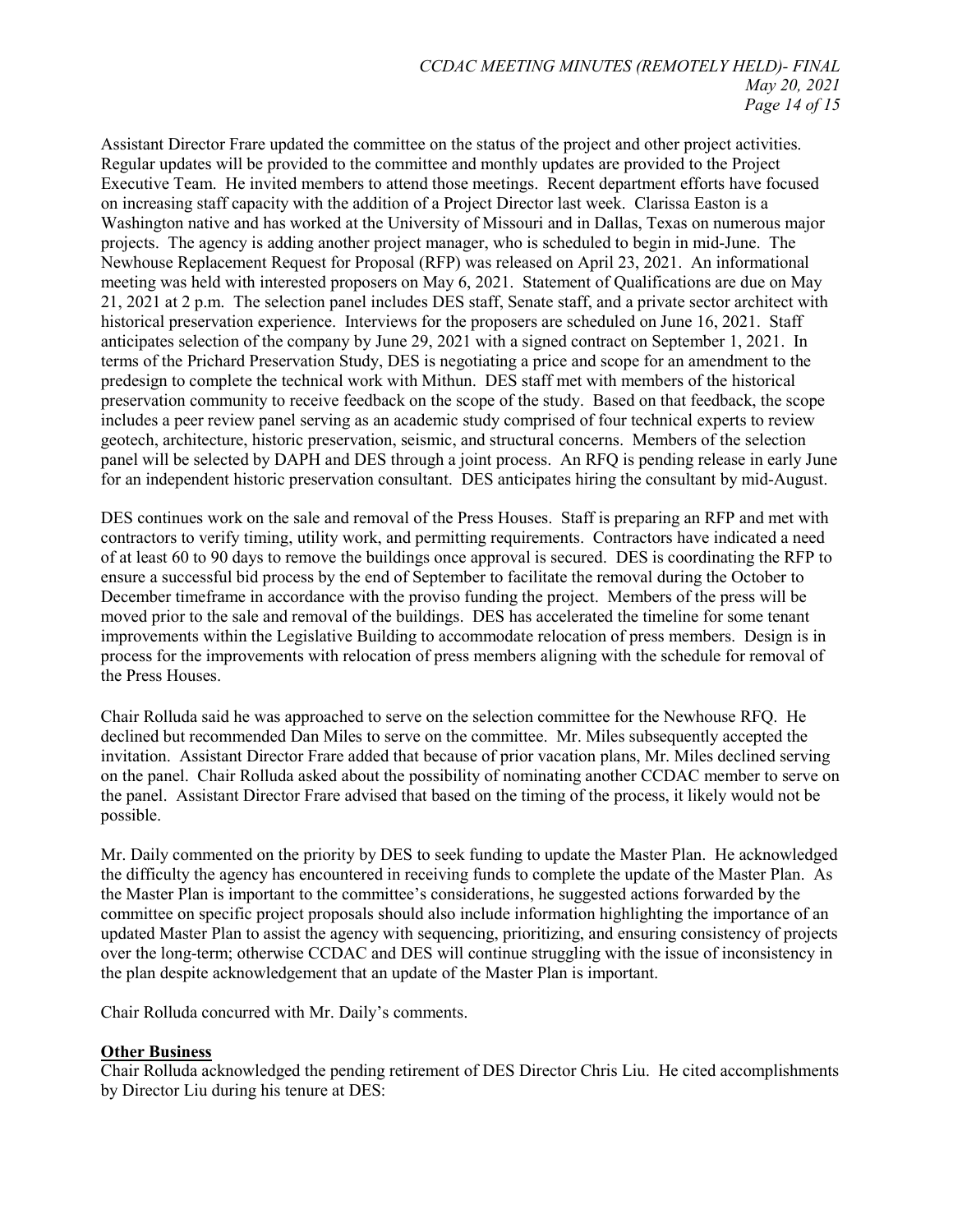Assistant Director Frare updated the committee on the status of the project and other project activities. Regular updates will be provided to the committee and monthly updates are provided to the Project Executive Team. He invited members to attend those meetings. Recent department efforts have focused on increasing staff capacity with the addition of a Project Director last week. Clarissa Easton is a Washington native and has worked at the University of Missouri and in Dallas, Texas on numerous major projects. The agency is adding another project manager, who is scheduled to begin in mid-June. The Newhouse Replacement Request for Proposal (RFP) was released on April 23, 2021. An informational meeting was held with interested proposers on May 6, 2021. Statement of Qualifications are due on May 21, 2021 at 2 p.m. The selection panel includes DES staff, Senate staff, and a private sector architect with historical preservation experience. Interviews for the proposers are scheduled on June 16, 2021. Staff anticipates selection of the company by June 29, 2021 with a signed contract on September 1, 2021. In terms of the Prichard Preservation Study, DES is negotiating a price and scope for an amendment to the predesign to complete the technical work with Mithun. DES staff met with members of the historical preservation community to receive feedback on the scope of the study. Based on that feedback, the scope includes a peer review panel serving as an academic study comprised of four technical experts to review geotech, architecture, historic preservation, seismic, and structural concerns. Members of the selection panel will be selected by DAPH and DES through a joint process. An RFQ is pending release in early June for an independent historic preservation consultant. DES anticipates hiring the consultant by mid-August.

DES continues work on the sale and removal of the Press Houses. Staff is preparing an RFP and met with contractors to verify timing, utility work, and permitting requirements. Contractors have indicated a need of at least 60 to 90 days to remove the buildings once approval is secured. DES is coordinating the RFP to ensure a successful bid process by the end of September to facilitate the removal during the October to December timeframe in accordance with the proviso funding the project. Members of the press will be moved prior to the sale and removal of the buildings. DES has accelerated the timeline for some tenant improvements within the Legislative Building to accommodate relocation of press members. Design is in process for the improvements with relocation of press members aligning with the schedule for removal of the Press Houses.

Chair Rolluda said he was approached to serve on the selection committee for the Newhouse RFQ. He declined but recommended Dan Miles to serve on the committee. Mr. Miles subsequently accepted the invitation. Assistant Director Frare added that because of prior vacation plans, Mr. Miles declined serving on the panel. Chair Rolluda asked about the possibility of nominating another CCDAC member to serve on the panel. Assistant Director Frare advised that based on the timing of the process, it likely would not be possible.

Mr. Daily commented on the priority by DES to seek funding to update the Master Plan. He acknowledged the difficulty the agency has encountered in receiving funds to complete the update of the Master Plan. As the Master Plan is important to the committee's considerations, he suggested actions forwarded by the committee on specific project proposals should also include information highlighting the importance of an updated Master Plan to assist the agency with sequencing, prioritizing, and ensuring consistency of projects over the long-term; otherwise CCDAC and DES will continue struggling with the issue of inconsistency in the plan despite acknowledgement that an update of the Master Plan is important.

Chair Rolluda concurred with Mr. Daily's comments.

#### **Other Business**

Chair Rolluda acknowledged the pending retirement of DES Director Chris Liu. He cited accomplishments by Director Liu during his tenure at DES: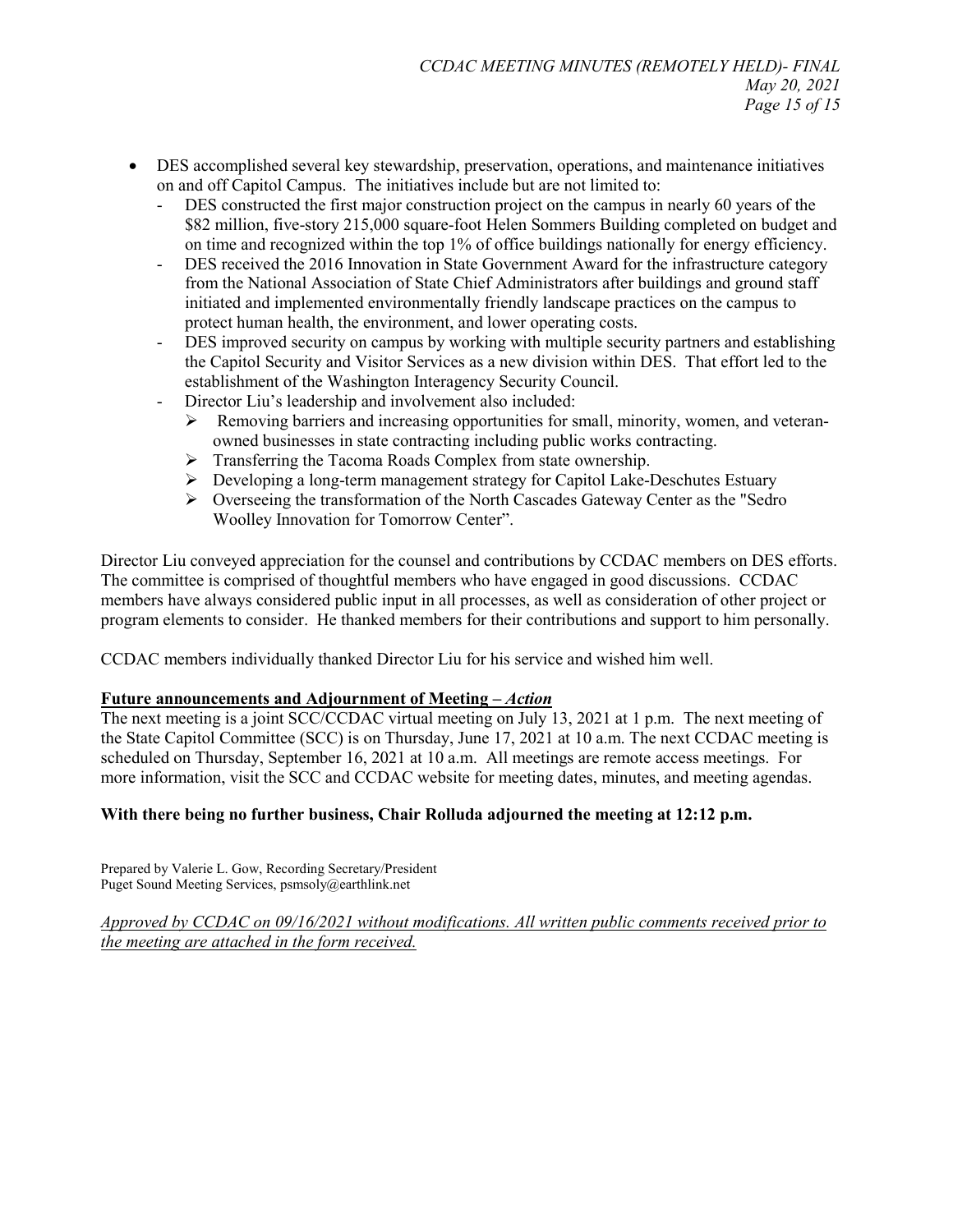- DES accomplished several key stewardship, preservation, operations, and maintenance initiatives on and off Capitol Campus. The initiatives include but are not limited to:
	- DES constructed the first major construction project on the campus in nearly 60 years of the \$82 million, five-story 215,000 square-foot Helen Sommers Building completed on budget and on time and recognized within the top 1% of office buildings nationally for energy efficiency.
	- DES received the 2016 Innovation in State Government Award for the infrastructure category from the National Association of State Chief Administrators after buildings and ground staff initiated and implemented environmentally friendly landscape practices on the campus to protect human health, the environment, and lower operating costs.
	- DES improved security on campus by working with multiple security partners and establishing the Capitol Security and Visitor Services as a new division within DES. That effort led to the establishment of the Washington Interagency Security Council.
	- Director Liu's leadership and involvement also included:
		- $\triangleright$  Removing barriers and increasing opportunities for small, minority, women, and veteranowned businesses in state contracting including public works contracting.
		- > Transferring the Tacoma Roads Complex from state ownership.
		- Developing a long-term management strategy for Capitol Lake-Deschutes Estuary
		- $\triangleright$  Overseeing the transformation of the North Cascades Gateway Center as the "Sedro" Woolley Innovation for Tomorrow Center".

Director Liu conveyed appreciation for the counsel and contributions by CCDAC members on DES efforts. The committee is comprised of thoughtful members who have engaged in good discussions. CCDAC members have always considered public input in all processes, as well as consideration of other project or program elements to consider. He thanked members for their contributions and support to him personally.

CCDAC members individually thanked Director Liu for his service and wished him well.

#### **Future announcements and Adjournment of Meeting –** *Action*

The next meeting is a joint SCC/CCDAC virtual meeting on July 13, 2021 at 1 p.m. The next meeting of the State Capitol Committee (SCC) is on Thursday, June 17, 2021 at 10 a.m. The next CCDAC meeting is scheduled on Thursday, September 16, 2021 at 10 a.m. All meetings are remote access meetings. For more information, visit the SCC and CCDAC website for meeting dates, minutes, and meeting agendas.

### **With there being no further business, Chair Rolluda adjourned the meeting at 12:12 p.m.**

Prepared by Valerie L. Gow, Recording Secretary/President Puget Sound Meeting Services, psmsoly@earthlink.net

*Approved by CCDAC on 09/16/2021 without modifications. All written public comments received prior to the meeting are attached in the form received.*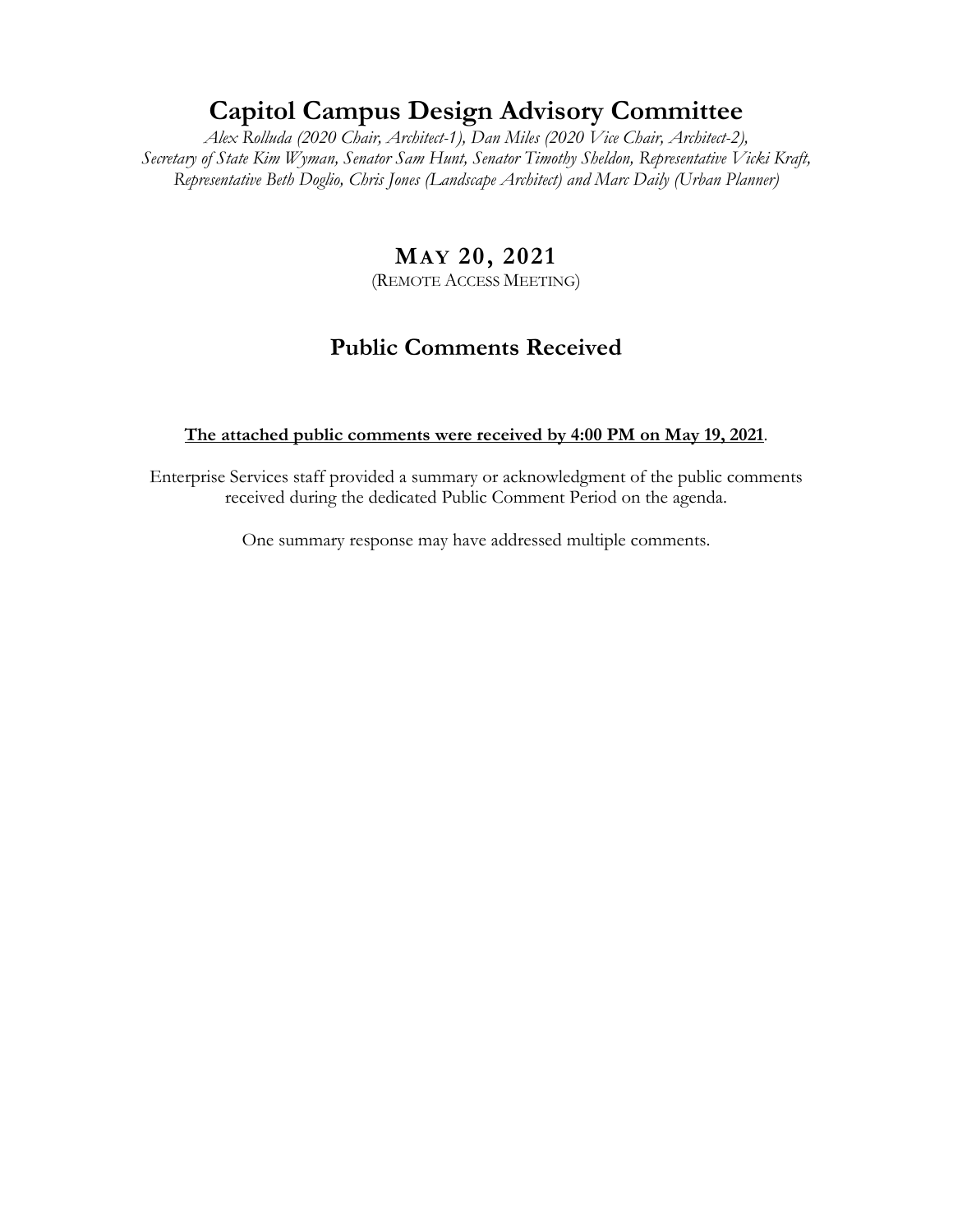# **Capitol Campus Design Advisory Committee**

*Alex Rolluda (2020 Chair, Architect-1), Dan Miles (2020 Vice Chair, Architect-2), Secretary of State Kim Wyman, Senator Sam Hunt, Senator Timothy Sheldon, Representative Vicki Kraft, Representative Beth Doglio, Chris Jones (Landscape Architect) and Marc Daily (Urban Planner)*

# **MAY 20, 2021**

(REMOTE ACCESS MEETING)

# **Public Comments Received**

### **The attached public comments were received by 4:00 PM on May 19, 2021**.

Enterprise Services staff provided a summary or acknowledgment of the public comments received during the dedicated Public Comment Period on the agenda.

One summary response may have addressed multiple comments.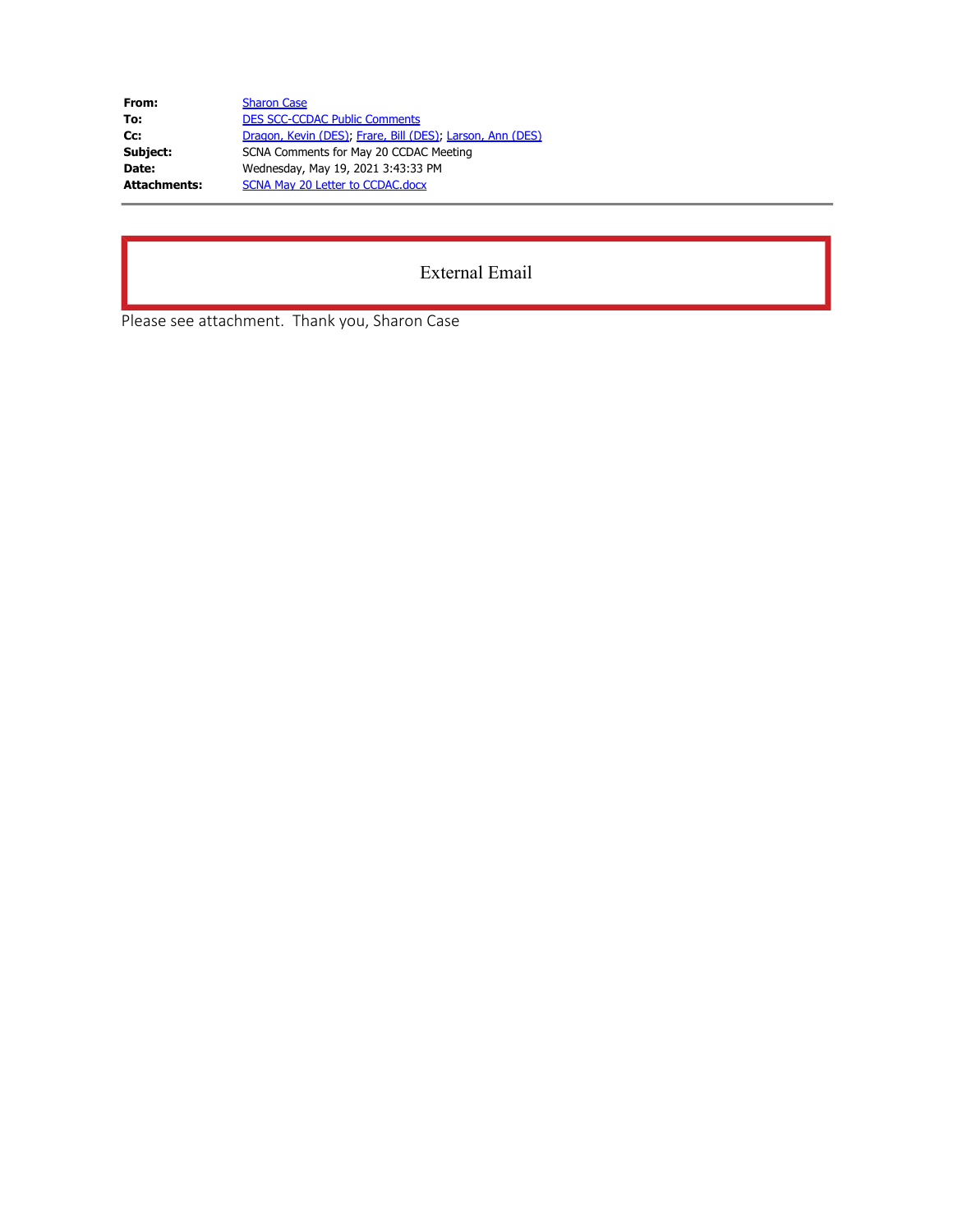| From:               | <b>Sharon Case</b>                                        |
|---------------------|-----------------------------------------------------------|
| To:                 | <b>DES SCC-CCDAC Public Comments</b>                      |
| Cc:                 | Dragon, Kevin (DES), Frare, Bill (DES), Larson, Ann (DES) |
| Subject:            | SCNA Comments for May 20 CCDAC Meeting                    |
| Date:               | Wednesday, May 19, 2021 3:43:33 PM                        |
| <b>Attachments:</b> | SCNA May 20 Letter to CCDAC.docx                          |

## External Email

Please see attachment. Thank you, Sharon Case